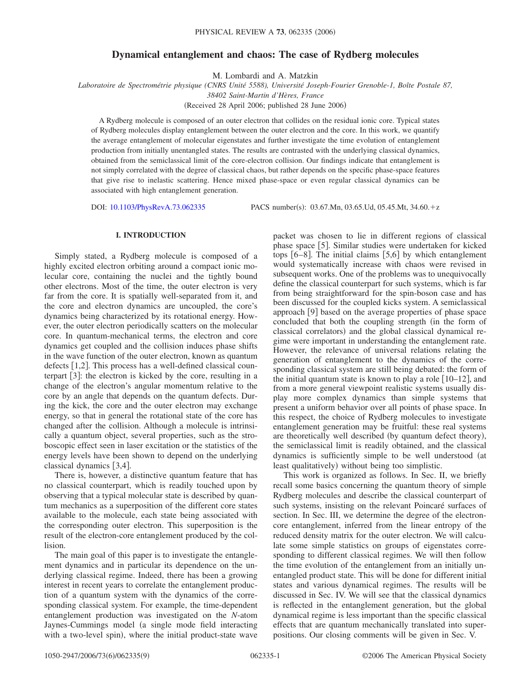# **Dynamical entanglement and chaos: The case of Rydberg molecules**

M. Lombardi and A. Matzkin

*Laboratoire de Spectrométrie physique (CNRS Unité 5588), Université Joseph-Fourier Grenoble-1, Boîte Postale 87,*

*38402 Saint-Martin d'Hères, France*

(Received 28 April 2006; published 28 June 2006)

A Rydberg molecule is composed of an outer electron that collides on the residual ionic core. Typical states of Rydberg molecules display entanglement between the outer electron and the core. In this work, we quantify the average entanglement of molecular eigenstates and further investigate the time evolution of entanglement production from initially unentangled states. The results are contrasted with the underlying classical dynamics, obtained from the semiclassical limit of the core-electron collision. Our findings indicate that entanglement is not simply correlated with the degree of classical chaos, but rather depends on the specific phase-space features that give rise to inelastic scattering. Hence mixed phase-space or even regular classical dynamics can be associated with high entanglement generation.

DOI: [10.1103/PhysRevA.73.062335](http://dx.doi.org/10.1103/PhysRevA.73.062335)

PACS number(s):  $03.67$ .Mn,  $03.65$ .Ud,  $05.45$ .Mt,  $34.60 + z$ 

## **I. INTRODUCTION**

Simply stated, a Rydberg molecule is composed of a highly excited electron orbiting around a compact ionic molecular core, containing the nuclei and the tightly bound other electrons. Most of the time, the outer electron is very far from the core. It is spatially well-separated from it, and the core and electron dynamics are uncoupled, the core's dynamics being characterized by its rotational energy. However, the outer electron periodically scatters on the molecular core. In quantum-mechanical terms, the electron and core dynamics get coupled and the collision induces phase shifts in the wave function of the outer electron, known as quantum defects  $[1,2]$ . This process has a well-defined classical counterpart  $[3]$ : the electron is kicked by the core, resulting in a change of the electron's angular momentum relative to the core by an angle that depends on the quantum defects. During the kick, the core and the outer electron may exchange energy, so that in general the rotational state of the core has changed after the collision. Although a molecule is intrinsically a quantum object, several properties, such as the stroboscopic effect seen in laser excitation or the statistics of the energy levels have been shown to depend on the underlying classical dynamics  $\lceil 3, 4 \rceil$ .

There is, however, a distinctive quantum feature that has no classical counterpart, which is readily touched upon by observing that a typical molecular state is described by quantum mechanics as a superposition of the different core states available to the molecule, each state being associated with the corresponding outer electron. This superposition is the result of the electron-core entanglement produced by the collision.

The main goal of this paper is to investigate the entanglement dynamics and in particular its dependence on the underlying classical regime. Indeed, there has been a growing interest in recent years to correlate the entanglement production of a quantum system with the dynamics of the corresponding classical system. For example, the time-dependent entanglement production was investigated on the *N*-atom Jaynes-Cummings model (a single mode field interacting with a two-level spin), where the initial product-state wave

packet was chosen to lie in different regions of classical phase space [5]. Similar studies were undertaken for kicked tops  $[6–8]$ . The initial claims  $[5,6]$  by which entanglement would systematically increase with chaos were revised in subsequent works. One of the problems was to unequivocally define the classical counterpart for such systems, which is far from being straightforward for the spin-boson case and has been discussed for the coupled kicks system. A semiclassical approach [9] based on the average properties of phase space concluded that both the coupling strength (in the form of classical correlators) and the global classical dynamical regime were important in understanding the entanglement rate. However, the relevance of universal relations relating the generation of entanglement to the dynamics of the corresponding classical system are still being debated: the form of the initial quantum state is known to play a role  $[10-12]$ , and from a more general viewpoint realistic systems usually display more complex dynamics than simple systems that present a uniform behavior over all points of phase space. In this respect, the choice of Rydberg molecules to investigate entanglement generation may be fruitful: these real systems are theoretically well described (by quantum defect theory), the semiclassical limit is readily obtained, and the classical dynamics is sufficiently simple to be well understood (at least qualitatively) without being too simplistic.

This work is organized as follows. In Sec. II, we briefly recall some basics concerning the quantum theory of simple Rydberg molecules and describe the classical counterpart of such systems, insisting on the relevant Poincaré surfaces of section. In Sec. III, we determine the degree of the electroncore entanglement, inferred from the linear entropy of the reduced density matrix for the outer electron. We will calculate some simple statistics on groups of eigenstates corresponding to different classical regimes. We will then follow the time evolution of the entanglement from an initially unentangled product state. This will be done for different initial states and various dynamical regimes. The results will be discussed in Sec. IV. We will see that the classical dynamics is reflected in the entanglement generation, but the global dynamical regime is less important than the specific classical effects that are quantum mechanically translated into superpositions. Our closing comments will be given in Sec. V.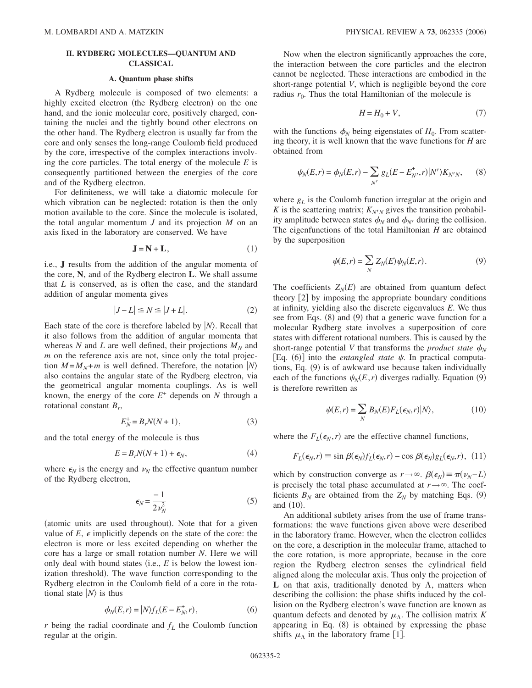## **II. RYDBERG MOLECULES—QUANTUM AND CLASSICAL**

#### **A. Quantum phase shifts**

A Rydberg molecule is composed of two elements: a highly excited electron (the Rydberg electron) on the one hand, and the ionic molecular core, positively charged, containing the nuclei and the tightly bound other electrons on the other hand. The Rydberg electron is usually far from the core and only senses the long-range Coulomb field produced by the core, irrespective of the complex interactions involving the core particles. The total energy of the molecule *E* is consequently partitioned between the energies of the core and of the Rydberg electron.

For definiteness, we will take a diatomic molecule for which vibration can be neglected: rotation is then the only motion available to the core. Since the molecule is isolated, the total angular momentum *J* and its projection *M* on an axis fixed in the laboratory are conserved. We have

$$
\mathbf{J} = \mathbf{N} + \mathbf{L},\tag{1}
$$

i.e., **J** results from the addition of the angular momenta of the core, **N**, and of the Rydberg electron **L**. We shall assume that *L* is conserved, as is often the case, and the standard addition of angular momenta gives

$$
|J - L| \le N \le |J + L|.
$$
 (2)

Each state of the core is therefore labeled by  $|N\rangle$ . Recall that it also follows from the addition of angular momenta that whereas *N* and *L* are well defined, their projections  $M_N$  and *m* on the reference axis are not, since only the total projection  $M = M_N + m$  is well defined. Therefore, the notation  $|N\rangle$ also contains the angular state of the Rydberg electron, via the geometrical angular momenta couplings. As is well known, the energy of the core  $E^+$  depends on  $N$  through a rotational constant  $B_r$ ,

$$
E_N^+ = B_r N(N+1),
$$
\n(3)

and the total energy of the molecule is thus

$$
E = B_r N(N+1) + \epsilon_N, \tag{4}
$$

where  $\epsilon_N$  is the energy and  $\nu_N$  the effective quantum number of the Rydberg electron,

$$
\epsilon_N = \frac{-1}{2v_N^2} \tag{5}
$$

(atomic units are used throughout). Note that for a given value of  $E$ ,  $\epsilon$  implicitly depends on the state of the core: the electron is more or less excited depending on whether the core has a large or small rotation number *N*. Here we will only deal with bound states (i.e.,  $E$  is below the lowest ionization threshold). The wave function corresponding to the Rydberg electron in the Coulomb field of a core in the rotational state  $|N\rangle$  is thus

$$
\phi_N(E,r) = |N\rangle f_L(E - E_N^+, r),\tag{6}
$$

*r* being the radial coordinate and  $f<sub>L</sub>$  the Coulomb function regular at the origin.

Now when the electron significantly approaches the core, the interaction between the core particles and the electron cannot be neglected. These interactions are embodied in the short-range potential *V*, which is negligible beyond the core radius  $r_0$ . Thus the total Hamiltonian of the molecule is

$$
H = H_0 + V,\t\t(7)
$$

with the functions  $\phi_N$  being eigenstates of  $H_0$ . From scattering theory, it is well known that the wave functions for *H* are obtained from

$$
\psi_N(E,r) = \phi_N(E,r) - \sum_{N'} g_L(E - E_{N'}^+,r)|N'\rangle K_{N'N},\tag{8}
$$

where  $g_L$  is the Coulomb function irregular at the origin and *K* is the scattering matrix;  $K_{N^{\prime}N}$  gives the transition probability amplitude between states  $\phi_N$  and  $\phi_{N'}$  during the collision. The eigenfunctions of the total Hamiltonian *H* are obtained by the superposition

$$
\psi(E,r) = \sum_{N} Z_N(E) \psi_N(E,r). \tag{9}
$$

The coefficients  $Z_N(E)$  are obtained from quantum defect theory  $\lceil 2 \rceil$  by imposing the appropriate boundary conditions at infinity, yielding also the discrete eigenvalues *E*. We thus see from Eqs. (8) and (9) that a generic wave function for a molecular Rydberg state involves a superposition of core states with different rotational numbers. This is caused by the short-range potential *V* that transforms the *product state*  $\phi_N$ [Eq.  $(6)$ ] into the *entangled state*  $\psi$ . In practical computations, Eq. (9) is of awkward use because taken individually each of the functions  $\psi_N(E,r)$  diverges radially. Equation (9) is therefore rewritten as

$$
\psi(E,r) = \sum_{N} B_{N}(E) F_{L}(\epsilon_{N},r) |N\rangle, \qquad (10)
$$

where the  $F_L(\epsilon_N, r)$  are the effective channel functions,

$$
F_L(\epsilon_N, r) \equiv \sin \beta(\epsilon_N) f_L(\epsilon_N, r) - \cos \beta(\epsilon_N) g_L(\epsilon_N, r), \quad (11)
$$

which by construction converge as  $r \rightarrow \infty$ .  $\beta(\epsilon_N) \equiv \pi(\nu_N - L)$ is precisely the total phase accumulated at  $r \rightarrow \infty$ . The coefficients  $B_N$  are obtained from the  $Z_N$  by matching Eqs. (9) and (10).

An additional subtlety arises from the use of frame transformations: the wave functions given above were described in the laboratory frame. However, when the electron collides on the core, a description in the molecular frame, attached to the core rotation, is more appropriate, because in the core region the Rydberg electron senses the cylindrical field aligned along the molecular axis. Thus only the projection of L on that axis, traditionally denoted by  $\Lambda$ , matters when describing the collision: the phase shifts induced by the collision on the Rydberg electron's wave function are known as quantum defects and denoted by  $\mu_{\Lambda}$ . The collision matrix K appearing in Eq.  $(8)$  is obtained by expressing the phase shifts  $\mu_{\Lambda}$  in the laboratory frame [1].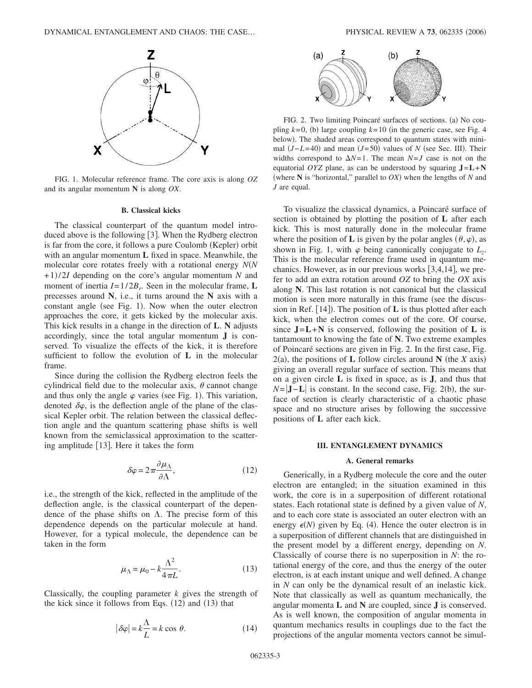

FIG. 1. Molecular reference frame. The core axis is along *OZ* and its angular momentum **N** is along *OX*.

### **B. Classical kicks**

The classical counterpart of the quantum model introduced above is the following  $[3]$ . When the Rydberg electron is far from the core, it follows a pure Coulomb (Kepler) orbit with an angular momentum **L** fixed in space. Meanwhile, the molecular core rotates freely with a rotational energy *NN*  $+1$ /2*I* depending on the core's angular momentum *N* and moment of inertia  $I = 1/2B_r$ . Seen in the molecular frame, **L** precesses around **N**, i.e., it turns around the **N** axis with a constant angle (see Fig. 1). Now when the outer electron approaches the core, it gets kicked by the molecular axis. This kick results in a change in the direction of **L**. **N** adjusts accordingly, since the total angular momentum **J** is conserved. To visualize the effects of the kick, it is therefore sufficient to follow the evolution of **L** in the molecular frame.

Since during the collision the Rydberg electron feels the cylindrical field due to the molecular axis,  $\theta$  cannot change and thus only the angle  $\varphi$  varies (see Fig. 1). This variation, denoted  $\delta\varphi$ , is the deflection angle of the plane of the classical Kepler orbit. The relation between the classical deflection angle and the quantum scattering phase shifts is well known from the semiclassical approximation to the scattering amplitude  $[13]$ . Here it takes the form

$$
\delta \varphi = 2\pi \frac{\partial \mu_{\Lambda}}{\partial \Lambda},\tag{12}
$$

i.e., the strength of the kick, reflected in the amplitude of the deflection angle, is the classical counterpart of the dependence of the phase shifts on  $\Lambda$ . The precise form of this dependence depends on the particular molecule at hand. However, for a typical molecule, the dependence can be taken in the form

$$
\mu_{\Lambda} = \mu_0 - k \frac{\Lambda^2}{4\pi L}.
$$
\n(13)

Classically, the coupling parameter *k* gives the strength of the kick since it follows from Eqs.  $(12)$  and  $(13)$  that

$$
|\delta \varphi| = k \frac{\Lambda}{L} = k \cos \theta.
$$
 (14)



FIG. 2. Two limiting Poincaré surfaces of sections. (a) No coupling  $k=0$ , (b) large coupling  $k=10$  (in the generic case, see Fig. 4 below). The shaded areas correspond to quantum states with minimal  $(J - L = 40)$  and mean  $(J = 50)$  values of *N* (see Sec. III). Their widths correspond to  $\Delta N=1$ . The mean  $N=J$  case is not on the equatorial *OYZ* plane, as can be understood by squaring **J**=**L**+**N** (where  $N$  is "horizontal," parallel to  $OX$ ) when the lengths of  $N$  and *J* are equal.

To visualize the classical dynamics, a Poincaré surface of section is obtained by plotting the position of **L** after each kick. This is most naturally done in the molecular frame where the position of **L** is given by the polar angles  $(\theta, \varphi)$ , as shown in Fig. 1, with  $\varphi$  being canonically conjugate to  $L_z$ . This is the molecular reference frame used in quantum mechanics. However, as in our previous works  $[3,4,14]$ , we prefer to add an extra rotation around *OZ* to bring the *OX* axis along **N**. This last rotation is not canonical but the classical motion is seen more naturally in this frame (see the discussion in Ref. [14]). The position of **L** is thus plotted after each kick, when the electron comes out of the core. Of course, since  $J = L + N$  is conserved, following the position of  $L$  is tantamount to knowing the fate of **N**. Two extreme examples of Poincaré sections are given in Fig. 2. In the first case, Fig.  $2(a)$ , the positions of **L** follow circles around **N** (the *X* axis) giving an overall regular surface of section. This means that on a given circle **L** is fixed in space, as is **J**, and thus that  $N = |J - L|$  is constant. In the second case, Fig. 2(b), the surface of section is clearly characteristic of a chaotic phase space and no structure arises by following the successive positions of **L** after each kick.

### **III. ENTANGLEMENT DYNAMICS**

### **A. General remarks**

Generically, in a Rydberg molecule the core and the outer electron are entangled; in the situation examined in this work, the core is in a superposition of different rotational states. Each rotational state is defined by a given value of *N*, and to each core state is associated an outer electron with an energy  $\epsilon$ (N) given by Eq. (4). Hence the outer electron is in a superposition of different channels that are distinguished in the present model by a different energy, depending on *N*. Classically of course there is no superposition in *N*: the rotational energy of the core, and thus the energy of the outer electron, is at each instant unique and well defined. A change in *N* can only be the dynamical result of an inelastic kick. Note that classically as well as quantum mechanically, the angular momenta **L** and **N** are coupled, since **J** is conserved. As is well known, the composition of angular momenta in quantum mechanics results in couplings due to the fact the projections of the angular momenta vectors cannot be simul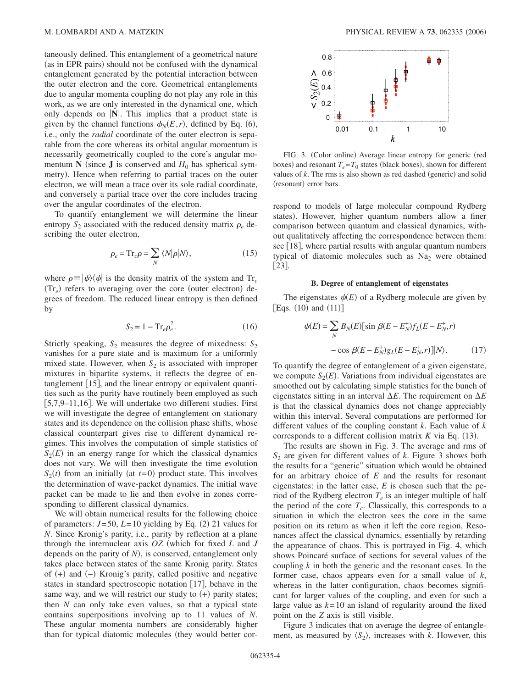taneously defined. This entanglement of a geometrical nature (as in EPR pairs) should not be confused with the dynamical entanglement generated by the potential interaction between the outer electron and the core. Geometrical entanglements due to angular momenta coupling do not play any role in this work, as we are only interested in the dynamical one, which only depends on **N**. This implies that a product state is given by the channel functions  $\phi_N(E, r)$ , defined by Eq. (6), i.e., only the *radial* coordinate of the outer electron is separable from the core whereas its orbital angular momentum is necessarily geometrically coupled to the core's angular momentum **N** (since **J** is conserved and  $H_0$  has spherical symmetry). Hence when referring to partial traces on the outer electron, we will mean a trace over its sole radial coordinate, and conversely a partial trace over the core includes tracing over the angular coordinates of the electron.

To quantify entanglement we will determine the linear entropy  $S_2$  associated with the reduced density matrix  $\rho_e$  describing the outer electron,

$$
\rho_e = \operatorname{Tr}_c \rho = \sum_N \langle N|\rho|N\rangle, \tag{15}
$$

where  $\rho = |\psi\rangle\langle\psi|$  is the density matrix of the system and Tr<sub>c</sub> (Tr<sub>e</sub>) refers to averaging over the core (outer electron) degrees of freedom. The reduced linear entropy is then defined by

$$
S_2 = 1 - \text{Tr}_e \rho_e^2. \tag{16}
$$

Strictly speaking,  $S_2$  measures the degree of mixedness:  $S_2$ vanishes for a pure state and is maximum for a uniformly mixed state. However, when  $S_2$  is associated with improper mixtures in bipartite systems, it reflects the degree of entanglement [15], and the linear entropy or equivalent quantities such as the purity have routinely been employed as such [5,7,9–11,16]. We will undertake two different studies. First we will investigate the degree of entanglement on stationary states and its dependence on the collision phase shifts, whose classical counterpart gives rise to different dynamical regimes. This involves the computation of simple statistics of  $S_2(E)$  in an energy range for which the classical dynamics does not vary. We will then investigate the time evolution  $S_2(t)$  from an initially (at  $t=0$ ) product state. This involves the determination of wave-packet dynamics. The initial wave packet can be made to lie and then evolve in zones corresponding to different classical dynamics.

We will obtain numerical results for the following choice of parameters:  $J = 50$ ,  $L = 10$  yielding by Eq. (2) 21 values for *N*. Since Kronig's parity, i.e., parity by reflection at a plane through the internuclear axis *OZ* which for fixed *L* and *J* depends on the parity of *N*), is conserved, entanglement only takes place between states of the same Kronig parity. States of (+) and (-) Kronig's parity, called positive and negative states in standard spectroscopic notation  $[17]$ , behave in the same way, and we will restrict our study to  $(+)$  parity states; then *N* can only take even values, so that a typical state contains superpositions involving up to 11 values of *N*. These angular momenta numbers are considerably higher than for typical diatomic molecules (they would better cor-



FIG. 3. (Color online) Average linear entropy for generic (red boxes) and resonant  $T_e = T_0$  states (black boxes), shown for different values of  $k$ . The rms is also shown as red dashed (generic) and solid (resonant) error bars.

respond to models of large molecular compound Rydberg states). However, higher quantum numbers allow a finer comparison between quantum and classical dynamics, without qualitatively affecting the correspondence between them: see  $[18]$ , where partial results with angular quantum numbers typical of diatomic molecules such as  $Na<sub>2</sub>$  were obtained  $\lceil 23 \rceil$ .

#### **B. Degree of entanglement of eigenstates**

The eigenstates  $\psi(E)$  of a Rydberg molecule are given by [Eqs.  $(10)$  and  $(11)$ ]

$$
\psi(E) = \sum_{N} B_{N}(E) \left[ \sin \beta (E - E_{N}^{+}) f_{L}(E - E_{N}^{+}, r) - \cos \beta (E - E_{N}^{+}) g_{L}(E - E_{N}^{+}, r) \right] |N\rangle. \tag{17}
$$

To quantify the degree of entanglement of a given eigenstate, we compute  $S_2(E)$ . Variations from individual eigenstates are smoothed out by calculating simple statistics for the bunch of eigenstates sitting in an interval  $\Delta E$ . The requirement on  $\Delta E$ is that the classical dynamics does not change appreciably within this interval. Several computations are performed for different values of the coupling constant *k*. Each value of *k* corresponds to a different collision matrix  $K$  via Eq.  $(13)$ .

The results are shown in Fig. 3. The average and rms of *S*<sup>2</sup> are given for different values of *k*. Figure 3 shows both the results for a "generic" situation which would be obtained for an arbitrary choice of *E* and the results for resonant eigenstates: in the latter case, *E* is chosen such that the period of the Rydberg electron  $T_e$  is an integer multiple of half the period of the core  $T_c$ . Classically, this corresponds to a situation in which the electron sees the core in the same position on its return as when it left the core region. Resonances affect the classical dynamics, essentially by retarding the appearance of chaos. This is portrayed in Fig. 4, which shows Poincaré surface of sections for several values of the coupling *k* in both the generic and the resonant cases. In the former case, chaos appears even for a small value of *k*, whereas in the latter configuration, chaos becomes significant for larger values of the coupling, and even for such a large value as  $k = 10$  an island of regularity around the fixed point on the *Z* axis is still visible.

Figure 3 indicates that on average the degree of entanglement, as measured by  $\langle S_2 \rangle$ , increases with *k*. However, this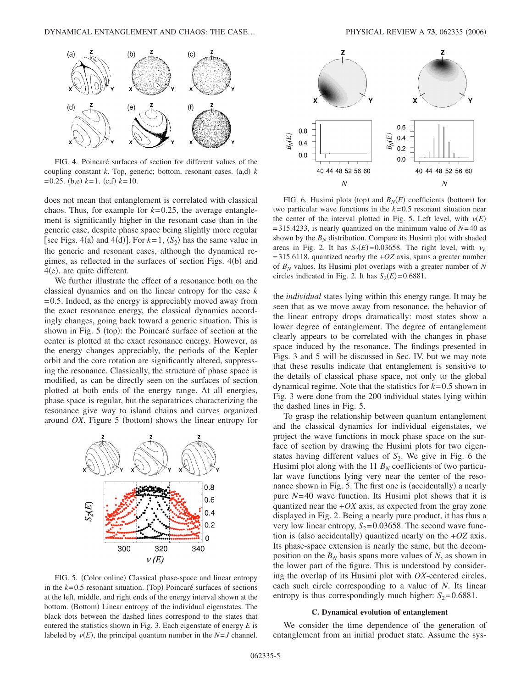

FIG. 4. Poincaré surfaces of section for different values of the coupling constant  $k$ . Top, generic; bottom, resonant cases.  $(a,d)$   $k$  $= 0.25$ . (b,e)  $k = 1$ . (c,f)  $k = 10$ .

does not mean that entanglement is correlated with classical chaos. Thus, for example for  $k=0.25$ , the average entanglement is significantly higher in the resonant case than in the generic case, despite phase space being slightly more regular [see Figs. 4(a) and 4(d)]. For  $k=1$ ,  $\langle S_2 \rangle$  has the same value in the generic and resonant cases, although the dynamical regimes, as reflected in the surfaces of section Figs. 4(b) and 4(e), are quite different.

We further illustrate the effect of a resonance both on the classical dynamics and on the linear entropy for the case *k* = 0.5. Indeed, as the energy is appreciably moved away from the exact resonance energy, the classical dynamics accordingly changes, going back toward a generic situation. This is shown in Fig. 5 (top): the Poincaré surface of section at the center is plotted at the exact resonance energy. However, as the energy changes appreciably, the periods of the Kepler orbit and the core rotation are significantly altered, suppressing the resonance. Classically, the structure of phase space is modified, as can be directly seen on the surfaces of section plotted at both ends of the energy range. At all energies, phase space is regular, but the separatrices characterizing the resonance give way to island chains and curves organized around *OX*. Figure 5 (bottom) shows the linear entropy for



FIG. 5. (Color online) Classical phase-space and linear entropy in the  $k=0.5$  resonant situation. (Top) Poincaré surfaces of sections at the left, middle, and right ends of the energy interval shown at the bottom. (Bottom) Linear entropy of the individual eigenstates. The black dots between the dashed lines correspond to the states that entered the statistics shown in Fig. 3. Each eigenstate of energy *E* is labeled by  $\nu(E)$ , the principal quantum number in the *N*=*J* channel.



FIG. 6. Husimi plots (top) and  $B_N(E)$  coefficients (bottom) for two particular wave functions in the *k*= 0.5 resonant situation near the center of the interval plotted in Fig. 5. Left level, with  $\nu(E)$  $= 315.4233$ , is nearly quantized on the minimum value of  $N=40$  as shown by the  $B_N$  distribution. Compare its Husimi plot with shaded areas in Fig. 2. It has  $S_2(E) = 0.03658$ . The right level, with  $\nu_E$  $= 315.6118$ , quantized nearby the  $+OZ$  axis, spans a greater number of *BN* values. Its Husimi plot overlaps with a greater number of *N* circles indicated in Fig. 2. It has  $S_2(E) = 0.6881$ .

the *individual* states lying within this energy range. It may be seen that as we move away from resonance, the behavior of the linear entropy drops dramatically: most states show a lower degree of entanglement. The degree of entanglement clearly appears to be correlated with the changes in phase space induced by the resonance. The findings presented in Figs. 3 and 5 will be discussed in Sec. IV, but we may note that these results indicate that entanglement is sensitive to the details of classical phase space, not only to the global dynamical regime. Note that the statistics for *k*= 0.5 shown in Fig. 3 were done from the 200 individual states lying within the dashed lines in Fig. 5.

To grasp the relationship between quantum entanglement and the classical dynamics for individual eigenstates, we project the wave functions in mock phase space on the surface of section by drawing the Husimi plots for two eigenstates having different values of  $S_2$ . We give in Fig. 6 the Husimi plot along with the 11  $B_N$  coefficients of two particular wave functions lying very near the center of the resonance shown in Fig. 5. The first one is (accidentally) a nearly pure *N*= 40 wave function. Its Husimi plot shows that it is quantized near the  $+OX$  axis, as expected from the gray zone displayed in Fig. 2. Being a nearly pure product, it has thus a very low linear entropy,  $S_2 = 0.03658$ . The second wave function is (also accidentally) quantized nearly on the  $+OZ$  axis. Its phase-space extension is nearly the same, but the decomposition on the  $B_N$  basis spans more values of N, as shown in the lower part of the figure. This is understood by considering the overlap of its Husimi plot with *OX*-centered circles, each such circle corresponding to a value of *N*. Its linear entropy is thus correspondingly much higher:  $S_2 = 0.6881$ .

### **C. Dynamical evolution of entanglement**

We consider the time dependence of the generation of entanglement from an initial product state. Assume the sys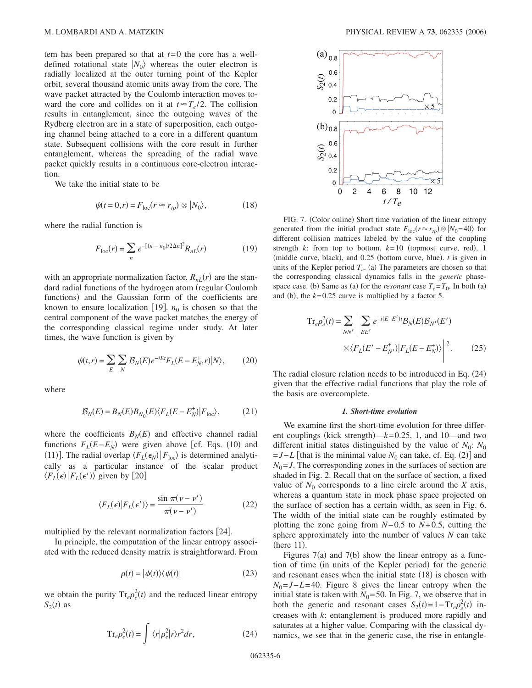tem has been prepared so that at *t*= 0 the core has a welldefined rotational state  $|N_0\rangle$  whereas the outer electron is radially localized at the outer turning point of the Kepler orbit, several thousand atomic units away from the core. The wave packet attracted by the Coulomb interaction moves toward the core and collides on it at  $t \approx T_e/2$ . The collision results in entanglement, since the outgoing waves of the Rydberg electron are in a state of superposition, each outgoing channel being attached to a core in a different quantum state. Subsequent collisions with the core result in further entanglement, whereas the spreading of the radial wave packet quickly results in a continuous core-electron interaction.

We take the initial state to be

$$
\psi(t=0,r) = F_{\text{loc}}(r \approx r_{tp}) \otimes |N_0\rangle, \qquad (18)
$$

where the radial function is

$$
F_{\text{loc}}(r) = \sum_{n} e^{-[(n - n_0)/2\Delta n]^2} R_{nL}(r) \tag{19}
$$

with an appropriate normalization factor.  $R_{nL}(r)$  are the standard radial functions of the hydrogen atom (regular Coulomb functions) and the Gaussian form of the coefficients are known to ensure localization [19].  $n_0$  is chosen so that the central component of the wave packet matches the energy of the corresponding classical regime under study. At later times, the wave function is given by

$$
\psi(t,r) = \sum_{E} \sum_{N} \mathcal{B}_{N}(E)e^{-iEt}F_{L}(E - E_{N}^{+}, r)|N\rangle, \qquad (20)
$$

where

$$
\mathcal{B}_N(E) = B_N(E)B_{N_0}(E)\langle F_L(E - E_N^+) | F_{\text{loc}} \rangle, \tag{21}
$$

where the coefficients  $B_N(E)$  and effective channel radial functions  $F_L(E - E_N^+)$  were given above [cf. Eqs. (10) and (11)]. The radial overlap  $\langle F_L(\epsilon_N) | F_{loc} \rangle$  is determined analytically as a particular instance of the scalar product  $\langle F_L(\epsilon) | F_L(\epsilon') \rangle$  given by [20]

$$
\langle F_L(\epsilon)|F_L(\epsilon')\rangle = \frac{\sin \pi(\nu - \nu')}{\pi(\nu - \nu')} \tag{22}
$$

multiplied by the relevant normalization factors  $|24|$ .

In principle, the computation of the linear entropy associated with the reduced density matrix is straightforward. From

$$
\rho(t) = |\psi(t)\rangle\langle\psi(t)| \tag{23}
$$

we obtain the purity  $\text{Tr}_e \rho_e^2(t)$  and the reduced linear entropy  $S_2(t)$  as

$$
\operatorname{Tr}_{e}\rho_{e}^{2}(t) = \int \langle r|\rho_{e}^{2}|r\rangle r^{2} dr,\tag{24}
$$



FIG. 7. (Color online) Short time variation of the linear entropy generated from the initial product state  $F_{\text{loc}}(r \approx r_{tp}) \otimes |N_0=40\rangle$  for different collision matrices labeled by the value of the coupling strength  $k$ : from top to bottom,  $k=10$  (topmost curve, red), 1 (middle curve, black), and  $0.25$  (bottom curve, blue).  $t$  is given in units of the Kepler period  $T_e$ . (a) The parameters are chosen so that the corresponding classical dynamics falls in the *generic* phasespace case. (b) Same as (a) for the *resonant* case  $T_e = T_0$ . In both (a) and (b), the  $k = 0.25$  curve is multiplied by a factor 5.

$$
\mathrm{Tr}_{e}\rho_{e}^{2}(t) = \sum_{NN'} \left| \sum_{EE'} e^{-i(E-E')t} \mathcal{B}_{N}(E) \mathcal{B}_{N'}(E') \right|
$$

$$
\times \langle F_{L}(E'-E_{N'}^{+}) | F_{L}(E-E_{N}^{+}) \rangle \Big|^{2}.
$$
 (25)

The radial closure relation needs to be introduced in Eq. (24) given that the effective radial functions that play the role of the basis are overcomplete.

### *1. Short-time evolution*

We examine first the short-time evolution for three different couplings (kick strength) $-k=0.25$ , 1, and 10—and two different initial states distinguished by the value of  $N_0$ :  $N_0$  $=J-L$  [that is the minimal value  $N_0$  can take, cf. Eq. (2)] and  $N_0 = J$ . The corresponding zones in the surfaces of section are shaded in Fig. 2. Recall that on the surface of section, a fixed value of  $N_0$  corresponds to a line circle around the *X* axis, whereas a quantum state in mock phase space projected on the surface of section has a certain width, as seen in Fig. 6. The width of the initial state can be roughly estimated by plotting the zone going from *N*− 0.5 to *N*+ 0.5, cutting the sphere approximately into the number of values *N* can take  $(here 11)$ .

Figures  $7(a)$  and  $7(b)$  show the linear entropy as a function of time (in units of the Kepler period) for the generic and resonant cases when the initial state  $(18)$  is chosen with  $N_0 = J - L = 40$ . Figure 8 gives the linear entropy when the initial state is taken with  $N_0 = 50$ . In Fig. 7, we observe that in both the generic and resonant cases  $S_2(t) = 1 - Tr_e \rho_e^2(t)$  increases with *k*: entanglement is produced more rapidly and saturates at a higher value. Comparing with the classical dynamics, we see that in the generic case, the rise in entangle-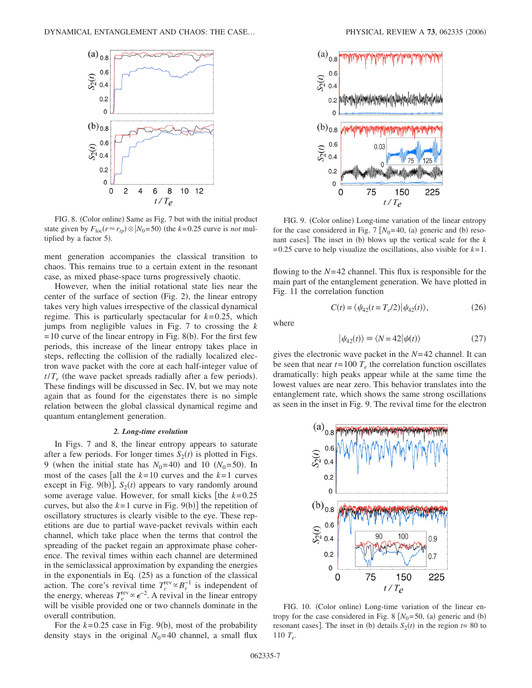

FIG. 8. (Color online) Same as Fig. 7 but with the initial product state given by  $F_{\text{loc}}(r \approx r_{tp}) \otimes |N_0 = 50\rangle$  (the *k*=0.25 curve is *not* multiplied by a factor 5).

ment generation accompanies the classical transition to chaos. This remains true to a certain extent in the resonant case, as mixed phase-space turns progressively chaotic.

However, when the initial rotational state lies near the center of the surface of section (Fig. 2), the linear entropy takes very high values irrespective of the classical dynamical regime. This is particularly spectacular for  $k=0.25$ , which jumps from negligible values in Fig. 7 to crossing the *k*  $= 10$  curve of the linear entropy in Fig. 8(b). For the first few periods, this increase of the linear entropy takes place in steps, reflecting the collision of the radially localized electron wave packet with the core at each half-integer value of  $t/T_e$  (the wave packet spreads radially after a few periods). These findings will be discussed in Sec. IV, but we may note again that as found for the eigenstates there is no simple relation between the global classical dynamical regime and quantum entanglement generation.

### *2. Long-time evolution*

In Figs. 7 and 8, the linear entropy appears to saturate after a few periods. For longer times  $S_2(t)$  is plotted in Figs. 9 (when the initial state has  $N_0 = 40$ ) and 10  $(N_0 = 50)$ . In most of the cases [all the  $k=10$  curves and the  $k=1$  curves except in Fig. 9(b)],  $S_2(t)$  appears to vary randomly around some average value. However, for small kicks the  $k=0.25$ curves, but also the  $k=1$  curve in Fig.  $9(b)$ ] the repetition of oscillatory structures is clearly visible to the eye. These repetitions are due to partial wave-packet revivals within each channel, which take place when the terms that control the spreading of the packet regain an approximate phase coherence. The revival times within each channel are determined in the semiclassical approximation by expanding the energies in the exponentials in Eq.  $(25)$  as a function of the classical action. The core's revival time  $T_c^{\text{rev}} \propto B_r^{-1}$  is independent of the energy, whereas  $T_e^{\text{rev}} \propto \epsilon^{-2}$ . A revival in the linear entropy will be visible provided one or two channels dominate in the overall contribution.

For the  $k=0.25$  case in Fig. 9(b), most of the probability density stays in the original  $N_0$ =40 channel, a small flux



FIG. 9. (Color online) Long-time variation of the linear entropy for the case considered in Fig. 7  $[N_0=40, (a)$  generic and (b) resonant cases]. The inset in (b) blows up the vertical scale for the *k*  $= 0.25$  curve to help visualize the oscillations, also visible for  $k=1$ .

flowing to the *N*= 42 channel. This flux is responsible for the main part of the entanglement generation. We have plotted in Fig. 11 the correlation function

$$
C(t) = \langle \psi_{42}(t = T_e/2) | \psi_{42}(t) \rangle, \qquad (26)
$$

where

$$
|\psi_{42}(t)\rangle \equiv \langle N = 42|\psi(t)\rangle \tag{27}
$$

gives the electronic wave packet in the *N*= 42 channel. It can be seen that near  $t = 100 T<sub>e</sub>$ , the correlation function oscillates dramatically: high peaks appear while at the same time the lowest values are near zero. This behavior translates into the entanglement rate, which shows the same strong oscillations as seen in the inset in Fig. 9. The revival time for the electron



FIG. 10. (Color online) Long-time variation of the linear entropy for the case considered in Fig. 8  $[N_0=50, (a)$  generic and (b) resonant cases]. The inset in (b) details  $S_2(t)$  in the region  $t=80$  to 110 *Te*.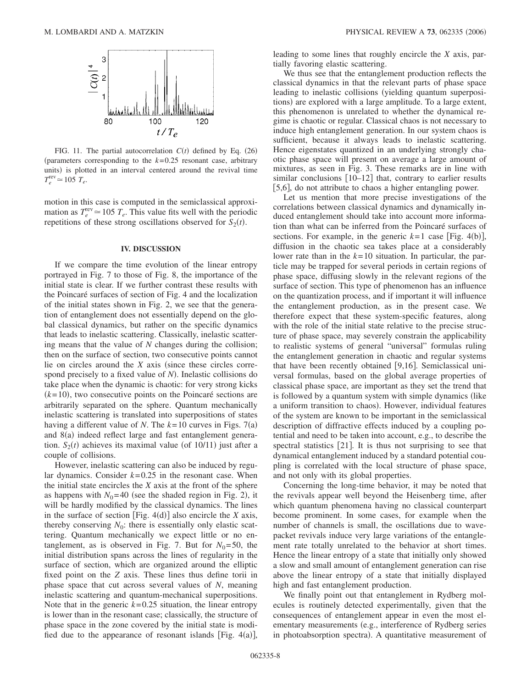

FIG. 11. The partial autocorrelation  $C(t)$  defined by Eq. (26) (parameters corresponding to the  $k=0.25$  resonant case, arbitrary units) is plotted in an interval centered around the revival time  $T_e^{\text{rev}} \simeq 105$   $T_e$ .

motion in this case is computed in the semiclassical approximation as  $T_e^{\text{rev}} \approx 105 T_e$ . This value fits well with the periodic repetitions of these strong oscillations observed for  $S_2(t)$ .

#### **IV. DISCUSSION**

If we compare the time evolution of the linear entropy portrayed in Fig. 7 to those of Fig. 8, the importance of the initial state is clear. If we further contrast these results with the Poincaré surfaces of section of Fig. 4 and the localization of the initial states shown in Fig. 2, we see that the generation of entanglement does not essentially depend on the global classical dynamics, but rather on the specific dynamics that leads to inelastic scattering. Classically, inelastic scattering means that the value of *N* changes during the collision; then on the surface of section, two consecutive points cannot lie on circles around the *X* axis (since these circles correspond precisely to a fixed value of *N*). Inelastic collisions do take place when the dynamic is chaotic: for very strong kicks  $(k=10)$ , two consecutive points on the Poincaré sections are arbitrarily separated on the sphere. Quantum mechanically inelastic scattering is translated into superpositions of states having a different value of *N*. The  $k=10$  curves in Figs. 7(a) and 8(a) indeed reflect large and fast entanglement generation.  $S_2(t)$  achieves its maximal value (of 10/11) just after a couple of collisions.

However, inelastic scattering can also be induced by regular dynamics. Consider  $k=0.25$  in the resonant case. When the initial state encircles the *X* axis at the front of the sphere as happens with  $N_0 = 40$  (see the shaded region in Fig. 2), it will be hardly modified by the classical dynamics. The lines in the surface of section [Fig.  $4(d)$ ] also encircle the *X* axis, thereby conserving  $N_0$ : there is essentially only elastic scattering. Quantum mechanically we expect little or no entanglement, as is observed in Fig. 7. But for  $N_0 = 50$ , the initial distribution spans across the lines of regularity in the surface of section, which are organized around the elliptic fixed point on the *Z* axis. These lines thus define torii in phase space that cut across several values of *N*, meaning inelastic scattering and quantum-mechanical superpositions. Note that in the generic  $k = 0.25$  situation, the linear entropy is lower than in the resonant case; classically, the structure of phase space in the zone covered by the initial state is modified due to the appearance of resonant islands [Fig.  $4(a)$ ],

leading to some lines that roughly encircle the *X* axis, partially favoring elastic scattering.

We thus see that the entanglement production reflects the classical dynamics in that the relevant parts of phase space leading to inelastic collisions (yielding quantum superpositions) are explored with a large amplitude. To a large extent, this phenomenon is unrelated to whether the dynamical regime is chaotic or regular. Classical chaos is not necessary to induce high entanglement generation. In our system chaos is sufficient, because it always leads to inelastic scattering. Hence eigenstates quantized in an underlying strongly chaotic phase space will present on average a large amount of mixtures, as seen in Fig. 3. These remarks are in line with similar conclusions  $\lceil 10-12 \rceil$  that, contrary to earlier results 5,6, do not attribute to chaos a higher entangling power.

Let us mention that more precise investigations of the correlations between classical dynamics and dynamically induced entanglement should take into account more information than what can be inferred from the Poincaré surfaces of sections. For example, in the generic  $k=1$  case [Fig. 4(b)], diffusion in the chaotic sea takes place at a considerably lower rate than in the  $k=10$  situation. In particular, the particle may be trapped for several periods in certain regions of phase space, diffusing slowly in the relevant regions of the surface of section. This type of phenomenon has an influence on the quantization process, and if important it will influence the entanglement production, as in the present case. We therefore expect that these system-specific features, along with the role of the initial state relative to the precise structure of phase space, may severely constrain the applicability to realistic systems of general "universal" formulas ruling the entanglement generation in chaotic and regular systems that have been recently obtained  $[9,16]$ . Semiclassical universal formulas, based on the global average properties of classical phase space, are important as they set the trend that is followed by a quantum system with simple dynamics (like a uniform transition to chaos). However, individual features of the system are known to be important in the semiclassical description of diffractive effects induced by a coupling potential and need to be taken into account, e.g., to describe the spectral statistics  $[21]$ . It is thus not surprising to see that dynamical entanglement induced by a standard potential coupling is correlated with the local structure of phase space, and not only with its global properties.

Concerning the long-time behavior, it may be noted that the revivals appear well beyond the Heisenberg time, after which quantum phenomena having no classical counterpart become prominent. In some cases, for example when the number of channels is small, the oscillations due to wavepacket revivals induce very large variations of the entanglement rate totally unrelated to the behavior at short times. Hence the linear entropy of a state that initially only showed a slow and small amount of entanglement generation can rise above the linear entropy of a state that initially displayed high and fast entanglement production.

We finally point out that entanglement in Rydberg molecules is routinely detected experimentally, given that the consequences of entanglement appear in even the most elementary measurements (e.g., interference of Rydberg series in photoabsorption spectra). A quantitative measurement of